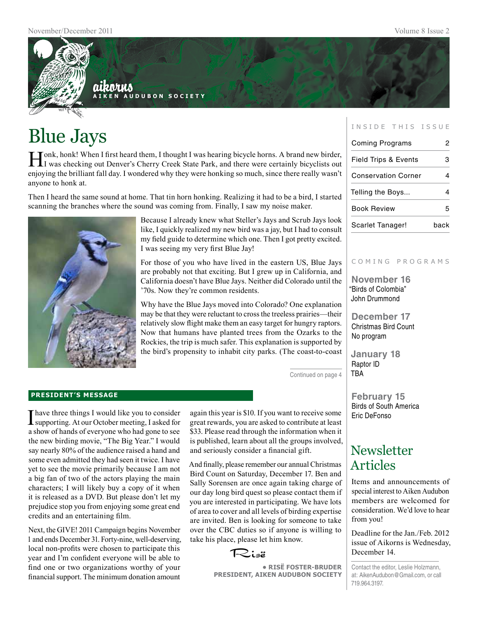

# Blue Jays

Honk, honk! When I first heard them, I thought I was hearing bicycle horns. A brand new birder, I was checking out Denver's Cherry Creek State Park, and there were certainly bicyclists out enjoying the brilliant fall day. I wondered why they were honking so much, since there really wasn't anyone to honk at.

Then I heard the same sound at home. That tin horn honking. Realizing it had to be a bird, I started scanning the branches where the sound was coming from. Finally, I saw my noise maker.



Because I already knew what Steller's Jays and Scrub Jays look like, I quickly realized my new bird was a jay, but I had to consult my field guide to determine which one. Then I got pretty excited. I was seeing my very first Blue Jay!

For those of you who have lived in the eastern US, Blue Jays are probably not that exciting. But I grew up in California, and California doesn't have Blue Jays. Neither did Colorado until the '70s. Now they're common residents.

Why have the Blue Jays moved into Colorado? One explanation may be that they were reluctant to cross the treeless prairies—their relatively slow flight make them an easy target for hungry raptors. Now that humans have planted trees from the Ozarks to the Rockies, the trip is much safer. This explanation is supported by the bird's propensity to inhabit city parks. (The coast-to-coast

Continued on page 4

#### **president's message**

I have three things I would like you to consider supporting. At our October meeting, I asked for a show of hands of everyone who had gone to see the new birding movie, "The Big Year." I would say nearly 80% of the audience raised a hand and some even admitted they had seen it twice. I have yet to see the movie primarily because I am not a big fan of two of the actors playing the main characters; I will likely buy a copy of it when it is released as a DVD. But please don't let my prejudice stop you from enjoying some great end credits and an entertaining film.

Next, the GIVE! 2011 Campaign begins November 1 and ends December 31. Forty-nine, well-deserving, local non-profits were chosen to participate this year and I'm confident everyone will be able to find one or two organizations worthy of your financial support. The minimum donation amount again this year is \$10. If you want to receive some great rewards, you are asked to contribute at least \$33. Please read through the information when it is published, learn about all the groups involved, and seriously consider a financial gift.

And finally, please remember our annual Christmas Bird Count on Saturday, December 17. Ben and Sally Sorensen are once again taking charge of our day long bird quest so please contact them if you are interested in participating. We have lots of area to cover and all levels of birding expertise are invited. Ben is looking for someone to take over the CBC duties so if anyone is willing to take his place, please let him know.

Risë

**• RisË Foster-Bruder President, Aiken Audubon Society**

#### INSIDE THIS ISSUE

| <b>Coming Programs</b>          | 2    |
|---------------------------------|------|
| <b>Field Trips &amp; Events</b> | 3    |
| <b>Conservation Corner</b>      |      |
| Telling the Boys                |      |
| <b>Book Review</b>              |      |
| Scarlet Tanager!                | back |

#### C o m i n g p r o g r a m s

**November 16** "Birds of Colombia" John Drummond

**December 17** Christmas Bird Count No program

**January 18** Raptor ID TBA

**February 15** Birds of South America Eric DeFonso

## **Newsletter** Articles

Items and announcements of special interest to Aiken Audubon members are welcomed for consideration. We'd love to hear from you!

Deadline for the Jan./Feb. 2012 issue of Aikorns is Wednesday, December 14.

Contact the editor, Leslie Holzmann, at: AikenAudubon@Gmail.com, or call 719.964.3197.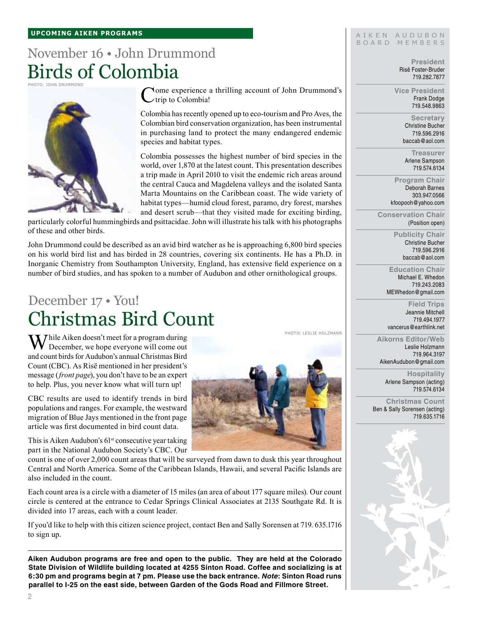#### **upcoming aiken Programs**

## November 16 • John Drummond Birds of Colombia

Photo: John Drummond



**Nome experience a thrilling account of John Drummond's**  $\angle$ trip to Colombia!

Colombia has recently opened up to eco-tourism and Pro Aves, the Colombian bird conservation organization, has been instrumental in purchasing land to protect the many endangered endemic species and habitat types.

Colombia possesses the highest number of bird species in the world, over 1,870 at the latest count. This presentation describes a trip made in April 2010 to visit the endemic rich areas around the central Cauca and Magdelena valleys and the isolated Santa Marta Mountains on the Caribbean coast. The wide variety of habitat types—humid cloud forest, paramo, dry forest, marshes and desert scrub—that they visited made for exciting birding,

particularly colorful hummingbirds and psittacidae. John will illustrate his talk with his photographs of these and other birds.

John Drummond could be described as an avid bird watcher as he is approaching 6,800 bird species on his world bird list and has birded in 28 countries, covering six continents. He has a Ph.D. in Inorganic Chemistry from Southampton University, England, has extensive field experience on a number of bird studies, and has spoken to a number of Audubon and other ornithological groups.

## December 17 • You! Christmas Bird Count

 $\mathbf{W}$ hile Aiken doesn't meet for a program during  $\bf{V}$  December, we hope everyone will come out and count birds for Audubon's annual Christmas Bird Count (CBC). As Risë mentioned in her president's message (*front page*), you don't have to be an expert to help. Plus, you never know what will turn up!

CBC results are used to identify trends in bird populations and ranges. For example, the westward migration of Blue Jays mentioned in the front page article was first documented in bird count data.

This is Aiken Audubon's  $61<sup>st</sup>$  consecutive year taking part in the National Audubon Society's CBC. Our

count is one of over 2,000 count areas that will be surveyed from dawn to dusk this year throughout Central and North America. Some of the Caribbean Islands, Hawaii, and several Pacific Islands are also included in the count.

Each count area is a circle with a diameter of 15 miles (an area of about 177 square miles). Our count circle is centered at the entrance to Cedar Springs Clinical Associates at 2135 Southgate Rd. It is divided into 17 areas, each with a count leader.

If you'd like to help with this citizen science project, contact Ben and Sally Sorensen at 719. 635.1716 to sign up.

**Aiken Audubon programs are free and open to the public. They are held at the Colorado State Division of Wildlife building located at 4255 Sinton Road. Coffee and socializing is at 6:30 pm and programs begin at 7 pm. Please use the back entrance.** *Note***: Sinton Road runs parallel to I-25 on the east side, between Garden of the Gods Road and Fillmore Street.**



Photo: Leslie Holzmann

#### AIKEN AUDUBON B O A R D M E M B E R S

**President** Risë Foster-Bruder 719.282.7877

**Vice President** Frank Dodge 719.548.9863

> **Secretary** Christine Bucher 719.596.2916 baccab@aol.com

**Treasurer** Arlene Sampson 719.574.6134

**Program Chair** Deborah Barnes 303.947.0566 kfoopooh@yahoo.com

**Conservation Chair** (Position open)

> **Publicity Chair** Christine Bucher 719.596.2916 baccab@aol.com

**Education Chair** Michael E. Whedon 719.243.2083 MEWhedon@gmail.com

**Field Trips** Jeannie Mitchell 719.494.1977 vancerus@earthlink.net

**Aikorns Editor/Web** Leslie Holzmann 719.964.3197 AikenAudubon@gmail.com

> **Hospitality** Arlene Sampson (acting) 719.574.6134

**Christmas Count** Ben & Sally Sorensen (acting) 719.635.1716

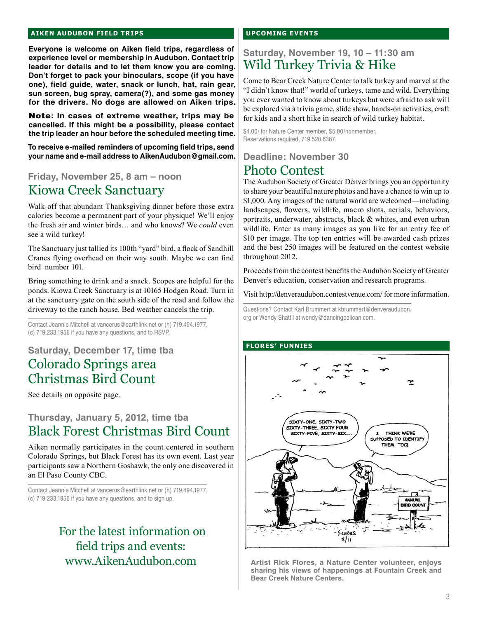#### **aiken audubon FIELD TRIPS**

**Everyone is welcome on Aiken field trips, regardless of experience level or membership in Audubon. Contact trip leader for details and to let them know you are coming. Don't forget to pack your binoculars, scope (if you have one), field guide, water, snack or lunch, hat, rain gear, sun screen, bug spray, camera(?), and some gas money for the drivers. No dogs are allowed on Aiken trips.** 

Note**: In cases of extreme weather, trips may be cancelled. If this might be a possibility, please contact the trip leader an hour before the scheduled meeting time.**

**To receive e-mailed reminders of upcoming field trips, send your name and e-mail address to AikenAudubon@gmail.com.**

## **Friday, November 25, 8 am – noon** Kiowa Creek Sanctuary

Walk off that abundant Thanksgiving dinner before those extra calories become a permanent part of your physique! We'll enjoy the fresh air and winter birds… and who knows? We *could* even see a wild turkey!

The Sanctuary just tallied its 100th "yard" bird, a flock of Sandhill Cranes flying overhead on their way south. Maybe we can find bird number 101.

Bring something to drink and a snack. Scopes are helpful for the ponds. Kiowa Creek Sanctuary is at 10165 Hodgen Road. Turn in at the sanctuary gate on the south side of the road and follow the driveway to the ranch house. Bed weather cancels the trip.

Contact Jeannie Mitchell at vancerus@earthlink.net or (h) 719.494.1977, (c) 719.233.1956 if you have any questions, and to RSVP.

## **Saturday, December 17, time tba** Colorado Springs area Christmas Bird Count

See details on opposite page.

## **Thursday, January 5, 2012, time tba** Black Forest Christmas Bird Count

Aiken normally participates in the count centered in southern Colorado Springs, but Black Forest has its own event. Last year participants saw a Northern Goshawk, the only one discovered in an El Paso County CBC.

Contact Jeannie Mitchell at vancerus@earthlink.net or (h) 719.494.1977, (c) 719.233.1956 if you have any questions, and to sign up.

## For the latest information on field trips and events: www.AikenAudubon.com

#### **upcoming events**

## **Saturday, November 19, 10 – 11:30 am** Wild Turkey Trivia & Hike

Come to Bear Creek Nature Center to talk turkey and marvel at the "I didn't know that!" world of turkeys, tame and wild. Everything you ever wanted to know about turkeys but were afraid to ask will be explored via a trivia game, slide show, hands-on activities, craft for kids and a short hike in search of wild turkey habitat.

\$4.00/ for Nature Center member, \$5.00/nonmember. Reservations required, 719.520.6387.

## **Deadline: November 30** Photo Contest

The Audubon Society of Greater Denver brings you an opportunity to share your beautiful nature photos and have a chance to win up to \$1,000. Any images of the natural world are welcomed—including landscapes, flowers, wildlife, macro shots, aerials, behaviors, portraits, underwater, abstracts, black & whites, and even urban wildlife. Enter as many images as you like for an entry fee of \$10 per image. The top ten entries will be awarded cash prizes and the best 250 images will be featured on the contest website throughout 2012.

Proceeds from the contest benefits the Audubon Society of Greater Denver's education, conservation and research programs.

Visit http://denveraudubon.contestvenue.com/ for more information.

Questions? Contact Karl Brummert at kbrummert@denveraudubon. org or Wendy Shattil at wendy@dancingpelican.com.

### **flores' funnies**



**Artist Rick Flores, a Nature Center volunteer, enjoys sharing his views of happenings at Fountain Creek and Bear Creek Nature Centers.**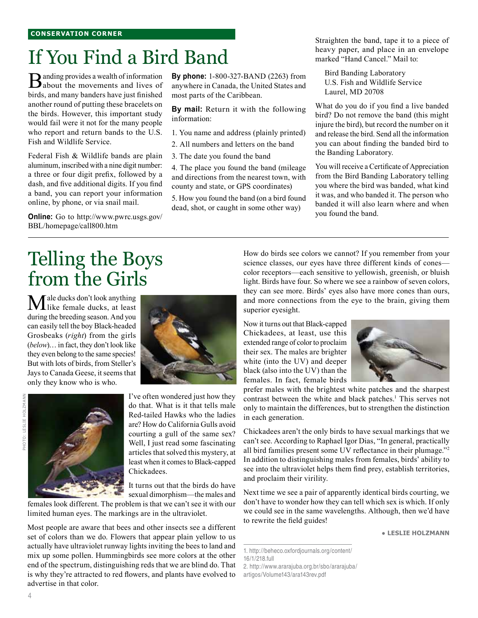# If You Find a Bird Band

**B**anding provides a wealth of information<br>about the movements and lives of birds, and many banders have just finished another round of putting these bracelets on the birds. However, this important study would fail were it not for the many people who report and return bands to the U.S. Fish and Wildlife Service.

Federal Fish & Wildlife bands are plain aluminum, inscribed with a nine digit number: a three or four digit prefix, followed by a dash, and five additional digits. If you find a band, you can report your information online, by phone, or via snail mail.

**Online:** Go to http://www.pwrc.usgs.gov/ BBL/homepage/call800.htm

**By phone:** 1-800-327-BAND (2263) from anywhere in Canada, the United States and most parts of the Caribbean.

**By mail:** Return it with the following information:

1. You name and address (plainly printed)

2. All numbers and letters on the band

3. The date you found the band

4. The place you found the band (mileage and directions from the nearest town, with county and state, or GPS coordinates)

5. How you found the band (on a bird found dead, shot, or caught in some other way)

Straighten the band, tape it to a piece of heavy paper, and place in an envelope marked "Hand Cancel." Mail to:

Bird Banding Laboratory U.S. Fish and Wildlife Service Laurel, MD 20708

What do you do if you find a live banded bird? Do not remove the band (this might injure the bird), but record the number on it and release the bird. Send all the information you can about finding the banded bird to the Banding Laboratory.

You will receive a Certificate of Appreciation from the Bird Banding Laboratory telling you where the bird was banded, what kind it was, and who banded it. The person who banded it will also learn where and when you found the band.

# Telling the Boys from the Girls

Male ducks don't look anything like female ducks, at least during the breeding season. And you can easily tell the boy Black-headed Grosbeaks (*right*) from the girls (*below*)… in fact, they don't look like they even belong to the same species! But with lots of birds, from Steller's Jays to Canada Geese, it seems that only they know who is who.

4





I've often wondered just how they do that. What is it that tells male Red-tailed Hawks who the ladies are? How do California Gulls avoid courting a gull of the same sex? Well, I just read some fascinating articles that solved this mystery, at least when it comes to Black-capped Chickadees.

It turns out that the birds do have sexual dimorphism—the males and

females look different. The problem is that we can't see it with our limited human eyes. The markings are in the ultraviolet.

Most people are aware that bees and other insects see a different set of colors than we do. Flowers that appear plain yellow to us actually have ultraviolet runway lights inviting the bees to land and mix up some pollen. Hummingbirds see more colors at the other end of the spectrum, distinguishing reds that we are blind do. That is why they're attracted to red flowers, and plants have evolved to advertise in that color.

How do birds see colors we cannot? If you remember from your science classes, our eyes have three different kinds of cones color receptors—each sensitive to yellowish, greenish, or bluish light. Birds have four. So where we see a rainbow of seven colors, they can see more. Birds' eyes also have more cones than ours, and more connections from the eye to the brain, giving them superior eyesight.

Now it turns out that Black-capped Chickadees, at least, use this extended range of color to proclaim their sex. The males are brighter white (into the UV) and deeper black (also into the UV) than the females. In fact, female birds



prefer males with the brightest white patches and the sharpest contrast between the white and black patches.<sup>1</sup> This serves not only to maintain the differences, but to strengthen the distinction in each generation.

Chickadees aren't the only birds to have sexual markings that we can't see. According to Raphael Igor Dias, "In general, practically all bird families present some UV reflectance in their plumage."2 In addition to distinguishing males from females, birds' ability to see into the ultraviolet helps them find prey, establish territories, and proclaim their virility.

Next time we see a pair of apparently identical birds courting, we don't have to wonder how they can tell which sex is which. If only we could see in the same wavelengths. Although, then we'd have to rewrite the field guides!

● **Leslie Holzmann**

<sup>1.</sup> http://beheco.oxfordjournals.org/content/ 16/1/218.full 2. http://www.ararajuba.org.br/sbo/ararajuba/ artigos/Volume143/ara143rev.pdf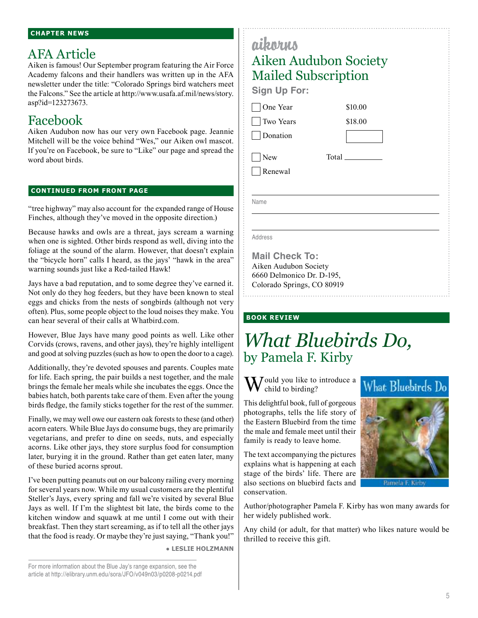#### **Chapter News**

## AFA Article

Aiken is famous! Our September program featuring the Air Force Academy falcons and their handlers was written up in the AFA newsletter under the title: "Colorado Springs bird watchers meet the Falcons." See the article at http://www.usafa.af.mil/news/story. asp?id=123273673.

## Facebook

Aiken Audubon now has our very own Facebook page. Jeannie Mitchell will be the voice behind "Wes," our Aiken owl mascot. If you're on Facebook, be sure to "Like" our page and spread the word about birds.

#### **continued from front page**

"tree highway" may also account for the expanded range of House Finches, although they've moved in the opposite direction.)

Because hawks and owls are a threat, jays scream a warning when one is sighted. Other birds respond as well, diving into the foliage at the sound of the alarm. However, that doesn't explain the "bicycle horn" calls I heard, as the jays' "hawk in the area" warning sounds just like a Red-tailed Hawk!

Jays have a bad reputation, and to some degree they've earned it. Not only do they hog feeders, but they have been known to steal eggs and chicks from the nests of songbirds (although not very often). Plus, some people object to the loud noises they make. You can hear several of their calls at Whatbird.com.

However, Blue Jays have many good points as well. Like other Corvids (crows, ravens, and other jays), they're highly intelligent and good at solving puzzles (such as how to open the door to a cage).

Additionally, they're devoted spouses and parents. Couples mate for life. Each spring, the pair builds a nest together, and the male brings the female her meals while she incubates the eggs. Once the babies hatch, both parents take care of them. Even after the young birds fledge, the family sticks together for the rest of the summer.

Finally, we may well owe our eastern oak forests to these (and other) acorn eaters. While Blue Jays do consume bugs, they are primarily vegetarians, and prefer to dine on seeds, nuts, and especially acorns. Like other jays, they store surplus food for consumption later, burying it in the ground. Rather than get eaten later, many of these buried acorns sprout.

I've been putting peanuts out on our balcony railing every morning for several years now. While my usual customers are the plentiful Steller's Jays, every spring and fall we're visited by several Blue Jays as well. If I'm the slightest bit late, the birds come to the kitchen window and squawk at me until I come out with their breakfast. Then they start screaming, as if to tell all the other jays that the food is ready. Or maybe they're just saying, "Thank you!"

● **Leslie Holzmann**

| <b>Mailed Subscription</b><br><b>Sign Up For:</b> |         |
|---------------------------------------------------|---------|
| One Year                                          | \$10.00 |
| Two Years                                         | \$18.00 |
| Donation                                          |         |
| New                                               | Total   |
| Renewal                                           |         |
| Name                                              |         |

**Mail Check To:** Aiken Audubon Society 6660 Delmonico Dr. D-195, Colorado Springs, CO 80919

### **book review**

٠I

## *What Bluebirds Do,* by Pamela F. Kirby

 $\mathbf{W}$  ould you like to introduce a child to birding?

This delightful book, full of gorgeous photographs, tells the life story of the Eastern Bluebird from the time the male and female meet until their family is ready to leave home.

The text accompanying the pictures explains what is happening at each stage of the birds' life. There are also sections on bluebird facts and conservation.



Any child (or adult, for that matter) who likes nature would be thrilled to receive this gift.





Pamela E. Kir

For more information about the Blue Jay's range expansion, see the article at http://elibrary.unm.edu/sora/JFO/v049n03/p0208-p0214.pdf